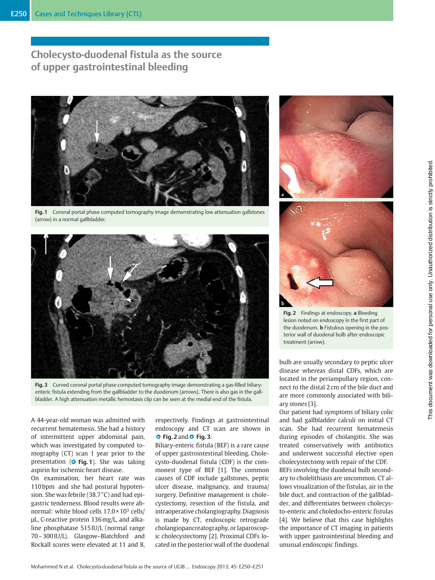# Cholecysto-duodenal fistula as the source of upper gastrointestinal bleeding



Fig. 1 Coronal portal phase computed tomography image demonstrating low attenuation gallstones (arrow) in a normal gallbladder.



Fig. 3 Curved coronal portal phase computed tomography image demonstrating a gas-filled biliaryenteric fistula extending from the gallbladder to the duodenum (arrows). There is also gas in the gallbladder. A high attenuation metallic hemostasis clip can be seen at the medial end of the fistula.

A 44-year-old woman was admitted with recurrent hematemesis. She had a history of intermittent upper abdominal pain, which was investigated by computed tomography (CT) scan 1 year prior to the presentation ( $\bullet$  Fig. 1). She was taking aspirin for ischemic heart disease.

On examination, her heart rate was 110 bpm and she had postural hypotension. She was febrile (38.7 °C) and had epigastric tenderness. Blood results were abnormal: white blood cells  $17.0 \times 10^3$  cells/ μL, C-reactive protein 136mg/L, and alkaline phosphatase 515 IU/L (normal range 70–300 IU/L). Glasgow–Blatchford and Rockall scores were elevated at 11 and 8,

respectively. Findings at gastrointestinal endoscopy and CT scan are shown in **O** Fig. 2 and **O** Fig. 3.

Biliary-enteric fistula (BEF) is a rare cause of upper gastrointestinal bleeding. Cholecysto-duodenal fistula (CDF) is the commonest type of BEF [1]. The common causes of CDF include gallstones, peptic ulcer disease, malignancy, and trauma/ surgery. Definitive management is cholecystectomy, resection of the fistula, and intraoperative cholangiography. Diagnosis is made by CT, endoscopic retrograde cholangiopancreatography, or laparoscopic cholecystectomy [2]. Proximal CDFs located in the posterior wall of the duodenal





Fig. 2 Findings at endoscopy. a Bleeding lesion noted on endoscopy in the first part of the duodenum. **b** Fistulous opening in the posterior wall of duodenal bulb after endoscopic treatment (arrow).

bulb are usually secondary to peptic ulcer disease whereas distal CDFs, which are located in the periampullary region, connect to the distal 2 cm of the bile duct and are more commonly associated with biliary stones [3].

Our patient had symptoms of biliary colic and had gallbladder calculi on initial CT scan. She had recurrent hematemesis during episodes of cholangitis. She was treated conservatively with antibiotics and underwent successful elective open cholecystectomy with repair of the CDF.

BEFs involving the duodenal bulb secondary to cholelithiasis are uncommon. CT allows visualization of the fistulas, air in the bile duct, and contraction of the gallbladder, and differentiates between cholecysto-enteric and choledocho-enteric fistulas [4]. We believe that this case highlights the importance of CT imaging in patients with upper gastrointestinal bleeding and unusual endoscopic findings.